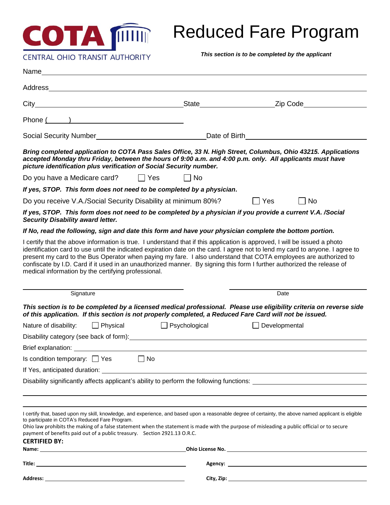

# Reduced Fare Program

*This section is to be completed by the applicant*

|                                                                                                                                                                                                                                                                                                                                                                                                                                                                                                                                                                 |                      | State <b>State State State State State State State State State State State State State State State State State State State State State State State State State State State</b> |
|-----------------------------------------------------------------------------------------------------------------------------------------------------------------------------------------------------------------------------------------------------------------------------------------------------------------------------------------------------------------------------------------------------------------------------------------------------------------------------------------------------------------------------------------------------------------|----------------------|--------------------------------------------------------------------------------------------------------------------------------------------------------------------------------|
| Phone ( )                                                                                                                                                                                                                                                                                                                                                                                                                                                                                                                                                       |                      |                                                                                                                                                                                |
| Social Security Number<br>Social Security Number<br>Social Security Number<br>Social Security Number                                                                                                                                                                                                                                                                                                                                                                                                                                                            |                      | Date of Birth Manual Assembly and Chatter and Chatter and Chatter and Chatter and Chatter                                                                                      |
| Bring completed application to COTA Pass Sales Office, 33 N. High Street, Columbus, Ohio 43215. Applications<br>accepted Monday thru Friday, between the hours of 9:00 a.m. and 4:00 p.m. only. All applicants must have<br>picture identification plus verification of Social Security number.                                                                                                                                                                                                                                                                 |                      |                                                                                                                                                                                |
| Do you have a Medicare card? $\Box$ Yes                                                                                                                                                                                                                                                                                                                                                                                                                                                                                                                         | N <sub>o</sub>       |                                                                                                                                                                                |
| If yes, STOP. This form does not need to be completed by a physician.                                                                                                                                                                                                                                                                                                                                                                                                                                                                                           |                      |                                                                                                                                                                                |
| Do you receive V.A./Social Security Disability at minimum 80%?                                                                                                                                                                                                                                                                                                                                                                                                                                                                                                  |                      | N <sub>o</sub><br>$\vert \ \vert$ Yes<br>$\mathbf{L}$                                                                                                                          |
| If yes, STOP. This form does not need to be completed by a physician if you provide a current V.A. /Social<br><b>Security Disability award letter.</b>                                                                                                                                                                                                                                                                                                                                                                                                          |                      |                                                                                                                                                                                |
| If No, read the following, sign and date this form and have your physician complete the bottom portion.                                                                                                                                                                                                                                                                                                                                                                                                                                                         |                      |                                                                                                                                                                                |
| I certify that the above information is true. I understand that if this application is approved, I will be issued a photo<br>identification card to use until the indicated expiration date on the card. I agree not to lend my card to anyone. I agree to<br>present my card to the Bus Operator when paying my fare. I also understand that COTA employees are authorized to<br>confiscate by I.D. Card if it used in an unauthorized manner. By signing this form I further authorized the release of<br>medical information by the certifying professional. |                      |                                                                                                                                                                                |
|                                                                                                                                                                                                                                                                                                                                                                                                                                                                                                                                                                 |                      |                                                                                                                                                                                |
| Signature                                                                                                                                                                                                                                                                                                                                                                                                                                                                                                                                                       |                      | Date                                                                                                                                                                           |
| This section is to be completed by a licensed medical professional. Please use eligibility criteria on reverse side                                                                                                                                                                                                                                                                                                                                                                                                                                             |                      |                                                                                                                                                                                |
| of this application. If this section is not properly completed, a Reduced Fare Card will not be issued.<br>$\Box$ Physical<br>Nature of disability:                                                                                                                                                                                                                                                                                                                                                                                                             | $\Box$ Psychological | Developmental                                                                                                                                                                  |
| Disability category (see back of form): Manual Common Content of the Disability category (see back of form):                                                                                                                                                                                                                                                                                                                                                                                                                                                    |                      |                                                                                                                                                                                |
| Brief explanation:                                                                                                                                                                                                                                                                                                                                                                                                                                                                                                                                              |                      |                                                                                                                                                                                |
| Is condition temporary: $\Box$ Yes<br>∣ ∣ No                                                                                                                                                                                                                                                                                                                                                                                                                                                                                                                    |                      |                                                                                                                                                                                |
|                                                                                                                                                                                                                                                                                                                                                                                                                                                                                                                                                                 |                      |                                                                                                                                                                                |
| Disability significantly affects applicant's ability to perform the following functions: _____________________                                                                                                                                                                                                                                                                                                                                                                                                                                                  |                      |                                                                                                                                                                                |
|                                                                                                                                                                                                                                                                                                                                                                                                                                                                                                                                                                 |                      |                                                                                                                                                                                |
|                                                                                                                                                                                                                                                                                                                                                                                                                                                                                                                                                                 |                      |                                                                                                                                                                                |
| I certify that, based upon my skill, knowledge, and experience, and based upon a reasonable degree of certainty, the above named applicant is eligible<br>to participate in COTA's Reduced Fare Program.<br>Ohio law prohibits the making of a false statement when the statement is made with the purpose of misleading a public official or to secure<br>payment of benefits paid out of a public treasury. Section 2921.13 O.R.C.<br><b>CERTIFIED BY:</b>                                                                                                    |                      |                                                                                                                                                                                |
| Name: when the contract of the contract of the contract of the contract of the contract of the contract of the contract of the contract of the contract of the contract of the contract of the contract of the contract of the                                                                                                                                                                                                                                                                                                                                  |                      |                                                                                                                                                                                |
|                                                                                                                                                                                                                                                                                                                                                                                                                                                                                                                                                                 |                      |                                                                                                                                                                                |